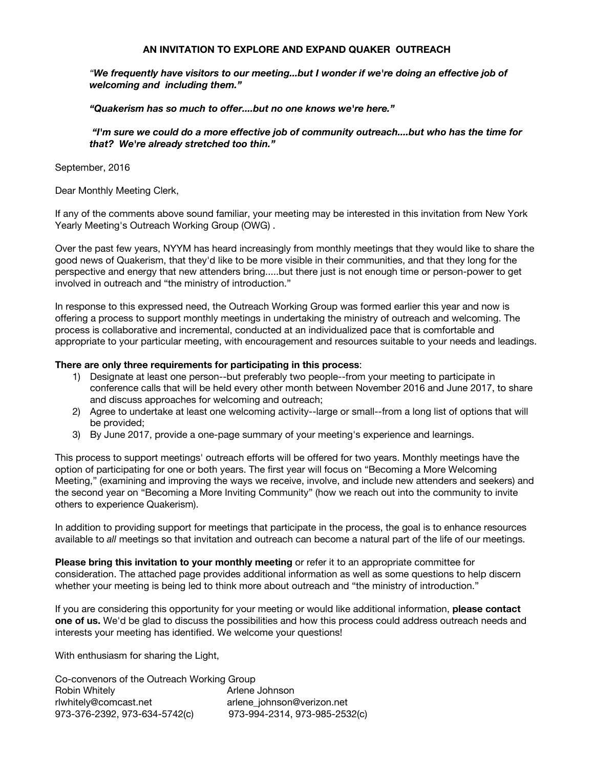#### **AN INVITATION TO EXPLORE AND EXPAND QUAKER OUTREACH**

*"We frequently have visitors to our meeting...but I wonder if we're doing an effective job of welcoming and including them."*

*"Quakerism has so much to offer....but no one knows we're here."*

 *"I'm sure we could do a more effective job of community outreach....but who has the time for that? We're already stretched too thin."* 

September, 2016

Dear Monthly Meeting Clerk,

If any of the comments above sound familiar, your meeting may be interested in this invitation from New York Yearly Meeting's Outreach Working Group (OWG) .

Over the past few years, NYYM has heard increasingly from monthly meetings that they would like to share the good news of Quakerism, that they'd like to be more visible in their communities, and that they long for the perspective and energy that new attenders bring.....but there just is not enough time or person-power to get involved in outreach and "the ministry of introduction."

In response to this expressed need, the Outreach Working Group was formed earlier this year and now is offering a process to support monthly meetings in undertaking the ministry of outreach and welcoming. The process is collaborative and incremental, conducted at an individualized pace that is comfortable and appropriate to your particular meeting, with encouragement and resources suitable to your needs and leadings.

#### **There are only three requirements for participating in this process**:

- 1) Designate at least one person--but preferably two people--from your meeting to participate in conference calls that will be held every other month between November 2016 and June 2017, to share and discuss approaches for welcoming and outreach;
- 2) Agree to undertake at least one welcoming activity--large or small--from a long list of options that will be provided;
- 3) By June 2017, provide a one-page summary of your meeting's experience and learnings.

This process to support meetings' outreach efforts will be offered for two years. Monthly meetings have the option of participating for one or both years. The first year will focus on "Becoming a More Welcoming Meeting," (examining and improving the ways we receive, involve, and include new attenders and seekers) and the second year on "Becoming a More Inviting Community" (how we reach out into the community to invite others to experience Quakerism).

In addition to providing support for meetings that participate in the process, the goal is to enhance resources available to *all* meetings so that invitation and outreach can become a natural part of the life of our meetings.

**Please bring this invitation to your monthly meeting** or refer it to an appropriate committee for consideration. The attached page provides additional information as well as some questions to help discern whether your meeting is being led to think more about outreach and "the ministry of introduction."

If you are considering this opportunity for your meeting or would like additional information, **please contact one of us.** We'd be glad to discuss the possibilities and how this process could address outreach needs and interests your meeting has identified. We welcome your questions!

With enthusiasm for sharing the Light,

Co-convenors of the Outreach Working Group Robin Whitely **Arlene** Johnson rlwhitely@comcast.net arlene\_johnson@verizon.net 973-376-2392, 973-634-5742(c) 973-994-2314, 973-985-2532(c)